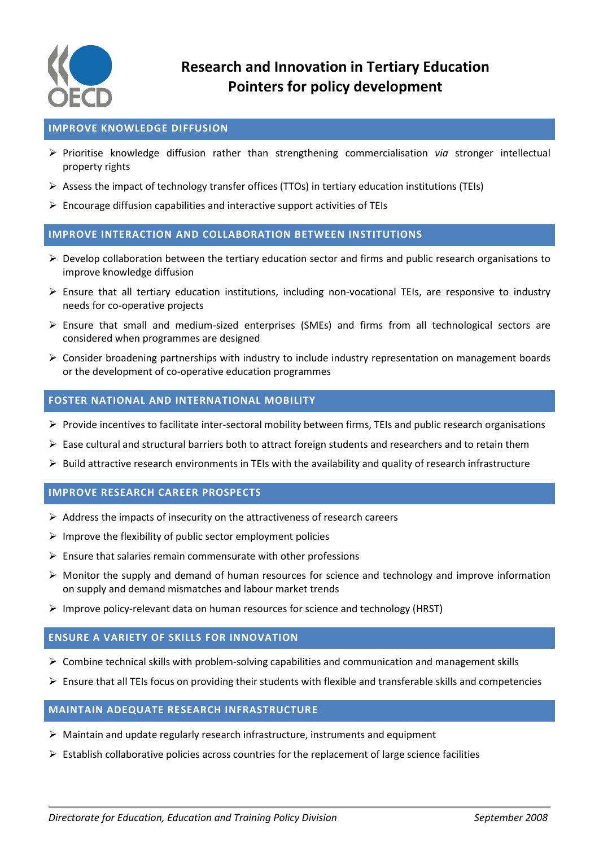

## **IMPROVE KNOWLEDGE DIFFUSION**

- Prioritise knowledge diffusion rather than strengthening commercialisation *via* stronger intellectual property rights
- $\triangleright$  Assess the impact of technology transfer offices (TTOs) in tertiary education institutions (TEIs)
- $\triangleright$  Encourage diffusion capabilities and interactive support activities of TEIs

#### **IMPROVE INTERACTION AND COLLABORATION BETWEEN INSTITUTIONS**

- $\triangleright$  Develop collaboration between the tertiary education sector and firms and public research organisations to improve knowledge diffusion
- Ensure that all tertiary education institutions, including non-vocational TEIs, are responsive to industry needs for co-operative projects
- $\triangleright$  Ensure that small and medium-sized enterprises (SMEs) and firms from all technological sectors are considered when programmes are designed
- $\triangleright$  Consider broadening partnerships with industry to include industry representation on management boards or the development of co-operative education programmes

## **FOSTER NATIONAL AND INTERNATIONAL MOBILITY**

- Provide incentives to facilitate inter-sectoral mobility between firms, TEIs and public research organisations
- $\triangleright$  Ease cultural and structural barriers both to attract foreign students and researchers and to retain them
- $\triangleright$  Build attractive research environments in TEIs with the availability and quality of research infrastructure

#### **IMPROVE RESEARCH CAREER PROSPECTS**

- $\triangleright$  Address the impacts of insecurity on the attractiveness of research careers
- $\triangleright$  Improve the flexibility of public sector employment policies
- $\triangleright$  Ensure that salaries remain commensurate with other professions
- $\triangleright$  Monitor the supply and demand of human resources for science and technology and improve information on supply and demand mismatches and labour market trends
- $\triangleright$  Improve policy-relevant data on human resources for science and technology (HRST)

#### **ENSURE A VARIETY OF SKILLS FOR INNOVATION**

- $\triangleright$  Combine technical skills with problem-solving capabilities and communication and management skills
- $\triangleright$  Ensure that all TEIs focus on providing their students with flexible and transferable skills and competencies

# **MAINTAIN ADEQUATE RESEARCH INFRASTRUCTURE**

- $\triangleright$  Maintain and update regularly research infrastructure, instruments and equipment
- $\triangleright$  Establish collaborative policies across countries for the replacement of large science facilities